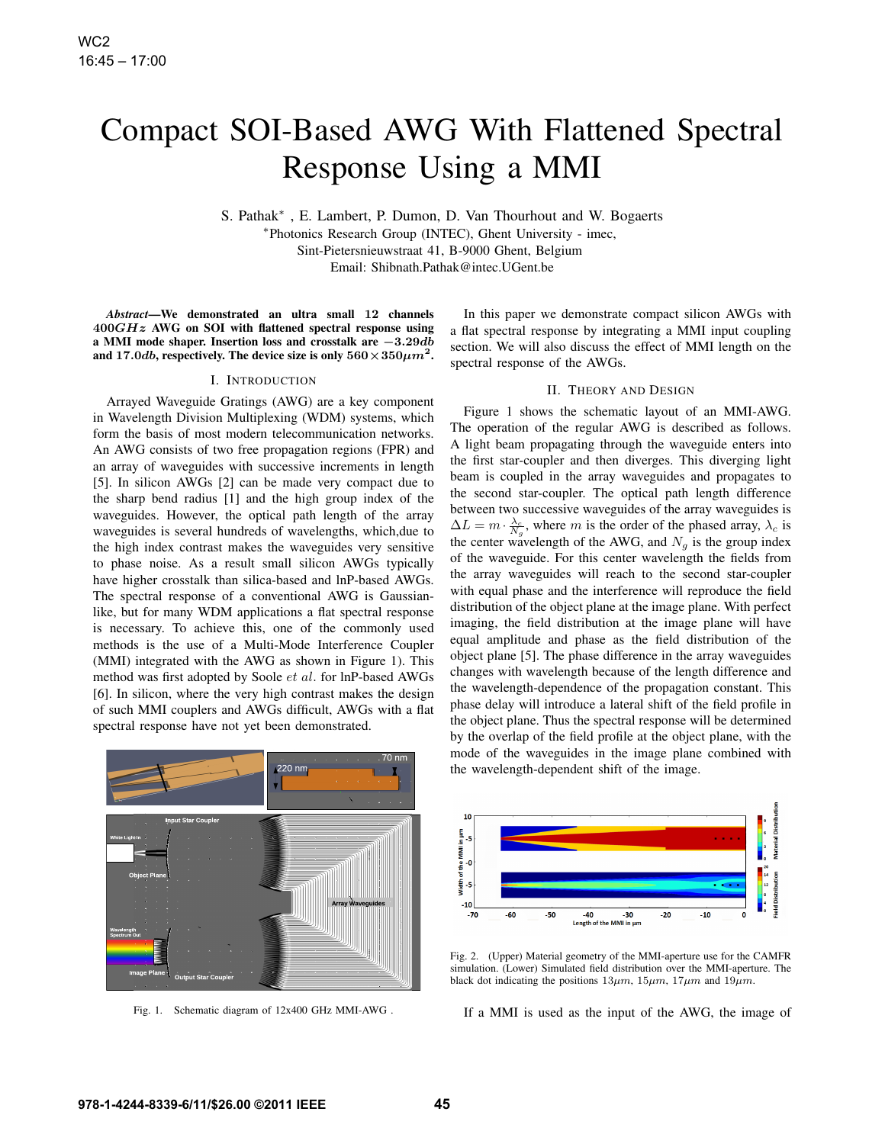# Compact SOI-Based AWG With Flattened Spectral Response Using a MMI

S. Pathak*∗* , E. Lambert, P. Dumon, D. Van Thourhout and W. Bogaerts *∗*Photonics Research Group (INTEC), Ghent University - imec, Sint-Pietersnieuwstraat 41, B-9000 Ghent, Belgium Email: Shibnath.Pathak@intec.UGent.be

*Abstract*—We demonstrated an ultra small **12** channels **400***GHz* AWG on SOI with flattened spectral response using a MMI mode shaper. Insertion loss and crosstalk are *−***3***.***29***db* and 17*.0db*, respectively. The device size is only  $560 \times 350 \mu m^2$ .

### I. INTRODUCTION

Arrayed Waveguide Gratings (AWG) are a key component in Wavelength Division Multiplexing (WDM) systems, which form the basis of most modern telecommunication networks. An AWG consists of two free propagation regions (FPR) and an array of waveguides with successive increments in length [5]. In silicon AWGs [2] can be made very compact due to the sharp bend radius [1] and the high group index of the waveguides. However, the optical path length of the array waveguides is several hundreds of wavelengths, which,due to the high index contrast makes the waveguides very sensitive to phase noise. As a result small silicon AWGs typically have higher crosstalk than silica-based and lnP-based AWGs. The spectral response of a conventional AWG is Gaussianlike, but for many WDM applications a flat spectral response is necessary. To achieve this, one of the commonly used methods is the use of a Multi-Mode Interference Coupler (MMI) integrated with the AWG as shown in Figure 1). This method was first adopted by Soole *et al.* for lnP-based AWGs [6]. In silicon, where the very high contrast makes the design of such MMI couplers and AWGs difficult, AWGs with a flat spectral response have not yet been demonstrated.

In this paper we demonstrate compact silicon AWGs with a flat spectral response by integrating a MMI input coupling section. We will also discuss the effect of MMI length on the spectral response of the AWGs.

## II. THEORY AND DESIGN

Figure 1 shows the schematic layout of an MMI-AWG. The operation of the regular AWG is described as follows. A light beam propagating through the waveguide enters into the first star-coupler and then diverges. This diverging light beam is coupled in the array waveguides and propagates to the second star-coupler. The optical path length difference between two successive waveguides of the array waveguides is  $\Delta L = m \cdot \frac{\lambda_c}{N_g}$ , where *m* is the order of the phased array,  $\lambda_c$  is the center wavelength of the AWG, and  $N<sub>g</sub>$  is the group index of the waveguide. For this center wavelength the fields from the array waveguides will reach to the second star-coupler with equal phase and the interference will reproduce the field distribution of the object plane at the image plane. With perfect imaging, the field distribution at the image plane will have equal amplitude and phase as the field distribution of the object plane [5]. The phase difference in the array waveguides changes with wavelength because of the length difference and the wavelength-dependence of the propagation constant. This phase delay will introduce a lateral shift of the field profile in the object plane. Thus the spectral response will be determined by the overlap of the field profile at the object plane, with the mode of the waveguides in the image plane combined with the wavelength-dependent shift of the image.



Fig. 1. Schematic diagram of 12x400 GHz MMI-AWG .



Fig. 2. (Upper) Material geometry of the MMI-aperture use for the CAMFR simulation. (Lower) Simulated field distribution over the MMI-aperture. The black dot indicating the positions  $13\mu m$ ,  $15\mu m$ ,  $17\mu m$  and  $19\mu m$ .

If a MMI is used as the input of the AWG, the image of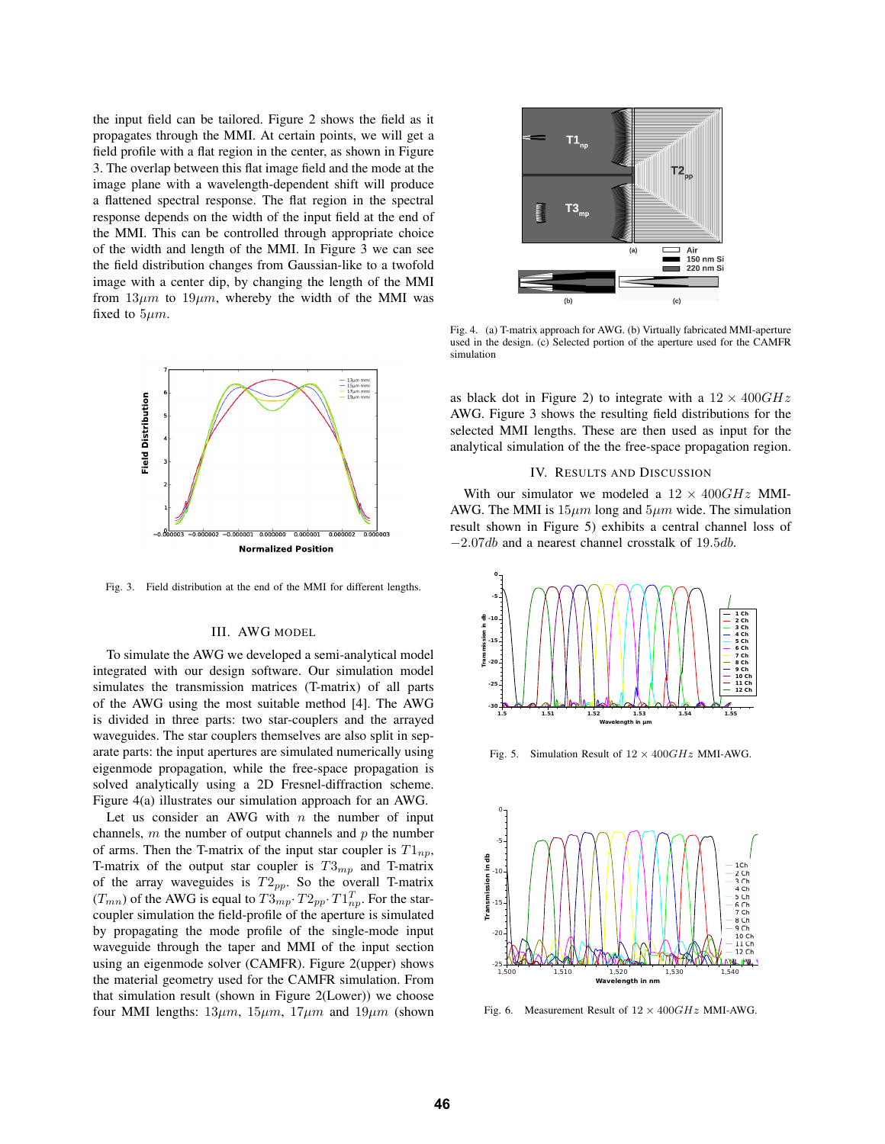the input field can be tailored. Figure 2 shows the field as it propagates through the MMI. At certain points, we will get a field profile with a flat region in the center, as shown in Figure 3. The overlap between this flat image field and the mode at the image plane with a wavelength-dependent shift will produce a flattened spectral response. The flat region in the spectral response depends on the width of the input field at the end of the MMI. This can be controlled through appropriate choice of the width and length of the MMI. In Figure 3 we can see the field distribution changes from Gaussian-like to a twofold image with a center dip, by changing the length of the MMI from  $13\mu m$  to  $19\mu m$ , whereby the width of the MMI was fixed to 5*µm*.



Fig. 3. Field distribution at the end of the MMI for different lengths.

#### III. AWG MODEL

To simulate the AWG we developed a semi-analytical model integrated with our design software. Our simulation model simulates the transmission matrices (T-matrix) of all parts of the AWG using the most suitable method [4]. The AWG is divided in three parts: two star-couplers and the arrayed waveguides. The star couplers themselves are also split in separate parts: the input apertures are simulated numerically using eigenmode propagation, while the free-space propagation is solved analytically using a 2D Fresnel-diffraction scheme. Figure 4(a) illustrates our simulation approach for an AWG.

Let us consider an AWG with *n* the number of input channels, *m* the number of output channels and *p* the number of arms. Then the T-matrix of the input star coupler is  $T1_{np}$ , T-matrix of the output star coupler is *T*3*mp* and T-matrix of the array waveguides is *T*2*pp*. So the overall T-matrix  $(T_{mn})$  of the AWG is equal to  $T3_{mp} \cdot T2_{pp} \cdot T1_{np}^T$ . For the starcoupler simulation the field-profile of the aperture is simulated by propagating the mode profile of the single-mode input waveguide through the taper and MMI of the input section using an eigenmode solver (CAMFR). Figure 2(upper) shows the material geometry used for the CAMFR simulation. From that simulation result (shown in Figure 2(Lower)) we choose four MMI lengths:  $13\mu m$ ,  $15\mu m$ ,  $17\mu m$  and  $19\mu m$  (shown



Fig. 4. (a) T-matrix approach for AWG. (b) Virtually fabricated MMI-aperture used in the design. (c) Selected portion of the aperture used for the CAMFR simulation

as black dot in Figure 2) to integrate with a 12 *×* 400*GHz* AWG. Figure 3 shows the resulting field distributions for the selected MMI lengths. These are then used as input for the analytical simulation of the the free-space propagation region.

#### IV. RESULTS AND DISCUSSION

With our simulator we modeled a 12 *×* 400*GHz* MMI-AWG. The MMI is 15*µm* long and 5*µm* wide. The simulation result shown in Figure 5) exhibits a central channel loss of *−*2*.*07*db* and a nearest channel crosstalk of 19*.*5*db*.



Fig. 5. Simulation Result of 12 *×* 400*GHz* MMI-AWG.



Fig. 6. Measurement Result of 12 *×* 400*GHz* MMI-AWG.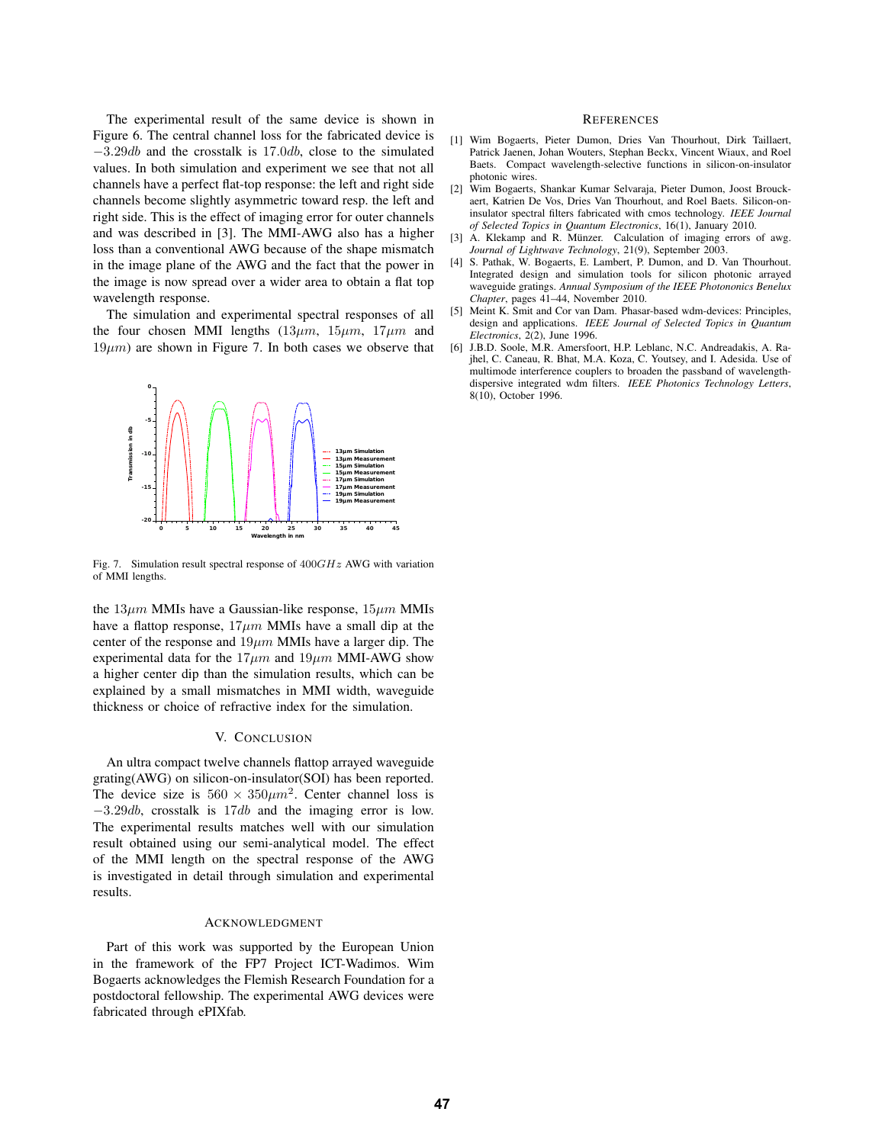The experimental result of the same device is shown in Figure 6. The central channel loss for the fabricated device is *−*3*.*29*db* and the crosstalk is 17*.*0*db*, close to the simulated values. In both simulation and experiment we see that not all channels have a perfect flat-top response: the left and right side channels become slightly asymmetric toward resp. the left and right side. This is the effect of imaging error for outer channels and was described in [3]. The MMI-AWG also has a higher loss than a conventional AWG because of the shape mismatch in the image plane of the AWG and the fact that the power in the image is now spread over a wider area to obtain a flat top wavelength response.

The simulation and experimental spectral responses of all the four chosen MMI lengths  $(13\mu m, 15\mu m, 17\mu m$  and  $19\mu m$ ) are shown in Figure 7. In both cases we observe that



Fig. 7. Simulation result spectral response of 400*GHz* AWG with variation of MMI lengths.

the 13*µm* MMIs have a Gaussian-like response, 15*µm* MMIs have a flattop response, 17*µm* MMIs have a small dip at the center of the response and 19*µm* MMIs have a larger dip. The experimental data for the  $17 \mu m$  and  $19 \mu m$  MMI-AWG show a higher center dip than the simulation results, which can be explained by a small mismatches in MMI width, waveguide thickness or choice of refractive index for the simulation.

#### V. CONCLUSION

An ultra compact twelve channels flattop arrayed waveguide grating(AWG) on silicon-on-insulator(SOI) has been reported. The device size is  $560 \times 350 \mu m^2$ . Center channel loss is *−*3*.*29*db*, crosstalk is 17*db* and the imaging error is low. The experimental results matches well with our simulation result obtained using our semi-analytical model. The effect of the MMI length on the spectral response of the AWG is investigated in detail through simulation and experimental results.

#### ACKNOWLEDGMENT

Part of this work was supported by the European Union in the framework of the FP7 Project ICT-Wadimos. Wim Bogaerts acknowledges the Flemish Research Foundation for a postdoctoral fellowship. The experimental AWG devices were fabricated through ePIXfab.

### **REFERENCES**

- [1] Wim Bogaerts, Pieter Dumon, Dries Van Thourhout, Dirk Taillaert, Patrick Jaenen, Johan Wouters, Stephan Beckx, Vincent Wiaux, and Roel Baets. Compact wavelength-selective functions in silicon-on-insulator photonic wires.
- [2] Wim Bogaerts, Shankar Kumar Selvaraja, Pieter Dumon, Joost Brouckaert, Katrien De Vos, Dries Van Thourhout, and Roel Baets. Silicon-oninsulator spectral filters fabricated with cmos technology. *IEEE Journal of Selected Topics in Quantum Electronics*, 16(1), January 2010.
- [3] A. Klekamp and R. Münzer. Calculation of imaging errors of awg. *Journal of Lightwave Technology*, 21(9), September 2003.
- [4] S. Pathak, W. Bogaerts, E. Lambert, P. Dumon, and D. Van Thourhout. Integrated design and simulation tools for silicon photonic arrayed waveguide gratings. *Annual Symposium of the IEEE Photononics Benelux Chapter*, pages 41–44, November 2010.
- [5] Meint K. Smit and Cor van Dam. Phasar-based wdm-devices: Principles, design and applications. *IEEE Journal of Selected Topics in Quantum Electronics*, 2(2), June 1996.
- [6] J.B.D. Soole, M.R. Amersfoort, H.P. Leblanc, N.C. Andreadakis, A. Rajhel, C. Caneau, R. Bhat, M.A. Koza, C. Youtsey, and I. Adesida. Use of multimode interference couplers to broaden the passband of wavelengthdispersive integrated wdm filters. *IEEE Photonics Technology Letters*, 8(10), October 1996.